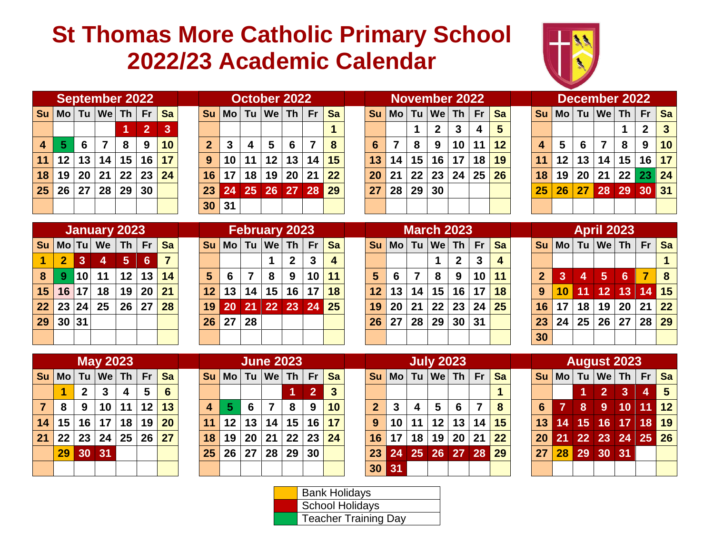## **St Thomas More Catholic Primary School 2022/23 Academic Calendar**



|                                                        |                         |                 |    | <b>September 2022</b> |         |                |                |  |  |  |  |
|--------------------------------------------------------|-------------------------|-----------------|----|-----------------------|---------|----------------|----------------|--|--|--|--|
| $\textsf{Mo}$ Tu $\textsf{We}$ Th Fr<br>S <sub>u</sub> |                         |                 |    |                       |         |                |                |  |  |  |  |
|                                                        |                         |                 |    |                       | 1       | $\overline{2}$ | $\overline{3}$ |  |  |  |  |
|                                                        | $\overline{\mathbf{4}}$ | 5               | 6  | 7                     | 8       | 9              | 10             |  |  |  |  |
|                                                        | 11                      | 12 <sub>2</sub> | 13 |                       | 14 15   | 16             | 17             |  |  |  |  |
|                                                        | 18                      | 19              | 20 | $ 21\rangle$          | $22$ 23 |                | 24             |  |  |  |  |
|                                                        | 25                      | 26              |    | 27 28                 | 29      | 30             |                |  |  |  |  |
|                                                        |                         |                 |    |                       |         |                |                |  |  |  |  |

|                |       |    |     |                 | <b>September 2022</b> |           |                 |      | October 2022                       |              |     |           |                 |    |                 | <b>November 2022</b>          |                 |         |           |           |       |     | December 2022                     |                 |       |              |
|----------------|-------|----|-----|-----------------|-----------------------|-----------|-----------------|------|------------------------------------|--------------|-----|-----------|-----------------|----|-----------------|-------------------------------|-----------------|---------|-----------|-----------|-------|-----|-----------------------------------|-----------------|-------|--------------|
|                |       |    |     |                 |                       | <b>Sa</b> |                 |      | $\textsf{S}$ u   Mo   Tu   We   Th |              | Fr. | Sa        |                 |    |                 | $ Su $ Mo   Tu   We   Th   Fr |                 |         | <b>Sa</b> | <b>Su</b> |       |     | <mark>│Mo│Tu│We│Th│ Fr │Sa</mark> |                 |       |              |
|                |       |    |     |                 |                       |           |                 |      |                                    |              |     |           |                 |    |                 | 2                             |                 | 4       | 5         |           |       |     |                                   |                 |       | $\mathbf{3}$ |
| 4 <sup>1</sup> |       |    |     | 8               | -9                    | 10        | $\mathbf 2$     |      | 5                                  | 6            |     |           |                 |    | 8               | 9                             |                 | 10   11 | 12        |           |       |     |                                   | 8               | 9     | $\vert$ 10   |
|                | 11 12 | 13 | 14, | 15 <sup>1</sup> | $16 \mid$             | 17        | 9               | 11   | 12                                 | 13           | 14  | <b>15</b> | 13              | 14 | 15 <sup>1</sup> | 16 <sup>1</sup>               | 17 <sup>1</sup> | 18      | 19        |           | 12    | 13. | 14 I                              | 15 <sup>1</sup> | 16 17 |              |
|                | 18 19 | 20 | 21  | 22              | 23 <sup>1</sup>       | 24        | 16 <sup>1</sup> | 18 I | 19                                 | $ 20\rangle$ | 21  | 22        | <b>20</b>       | 21 | 22 <sub>1</sub> | 23                            | 24 25           |         | <b>26</b> | 18        | 19    | 20  | 21 <sup>1</sup>                   | 22 23 24        |       |              |
|                | 25 26 | 27 | 28  | 29              | 30                    |           | 23 <sup>°</sup> |      | 24 25 26 27 28                     |              |     | l 29      | 27 <sub>2</sub> | 28 | 29 <sub>1</sub> | 30                            |                 |         |           | 25        | l 26. | 27  | 28 29                             |                 | 30 31 |              |
|                |       |    |     |                 |                       |           | 30 31           |      |                                    |              |     |           |                 |    |                 |                               |                 |         |           |           |       |     |                                   |                 |       |              |

|                |    |          | November 2022                        |              |          |           |
|----------------|----|----------|--------------------------------------|--------------|----------|-----------|
| <b>Su</b>      |    |          | $\textsf{Mo}$ Tu $\textsf{We}$ Th Fr |              |          | <b>Sa</b> |
|                |    | 1        | $\mathbf{2}$                         | $\mathbf{3}$ | 4        | 5         |
| $6\phantom{1}$ | 7  | 8        | 9                                    | 10           | 11       | 12        |
| 13             |    | 14 15 16 |                                      | 17 18        |          | 19        |
| 20             | 21 | $22$ 23  |                                      |              | 24 25 26 |           |
| 27             | 28 | 29       | 30                                   |              |          |           |
|                |    |          |                                      |              |          |           |
|                |    |          |                                      |              |          |           |

|                                                       |                 |                 | December 2022  |              |              |    |  |  |  |  |  |  |  |  |
|-------------------------------------------------------|-----------------|-----------------|----------------|--------------|--------------|----|--|--|--|--|--|--|--|--|
| $\textsf{Mo}$ Tu $\textsf{We}$ Th $\textsf{Fr}$<br>Su |                 |                 |                |              |              |    |  |  |  |  |  |  |  |  |
|                                                       |                 |                 |                | 1            | $\mathbf{2}$ | 3  |  |  |  |  |  |  |  |  |
| $\overline{\mathbf{4}}$                               | 5               | 6               | $\overline{7}$ | 8            | 9            | 10 |  |  |  |  |  |  |  |  |
| 11                                                    | 12 <sub>2</sub> | 13              | 14             | 15           | 16           | 17 |  |  |  |  |  |  |  |  |
| 18                                                    | 19              | 20              | 21             | $22 \mid 23$ |              | 24 |  |  |  |  |  |  |  |  |
| 25                                                    | 26              | 27 <sup>1</sup> | 28             | 29           | 30           | 31 |  |  |  |  |  |  |  |  |
|                                                       |                 |                 |                |              |              |    |  |  |  |  |  |  |  |  |

|                      |                                |              | <b>January 2023</b> |    |            |    |  |  |  |  |  |  |  |  |
|----------------------|--------------------------------|--------------|---------------------|----|------------|----|--|--|--|--|--|--|--|--|
|                      | Mo Tu We Th Fr Sa<br><b>Su</b> |              |                     |    |            |    |  |  |  |  |  |  |  |  |
| $\blacktriangleleft$ | 27                             | l 3 l        | 44                  | 45 | $\bigcirc$ | 7  |  |  |  |  |  |  |  |  |
| 8                    |                                | $9 \vert 10$ | 11                  |    | 12 13 14   |    |  |  |  |  |  |  |  |  |
|                      | 15 16 17 18                    |              |                     |    | 19 20      | 21 |  |  |  |  |  |  |  |  |
| 22 <sub>2</sub>      | 23 24                          |              | 25                  |    | 26 27 28   |    |  |  |  |  |  |  |  |  |
| 29                   | 30 31                          |              |                     |    |            |    |  |  |  |  |  |  |  |  |
|                      |                                |              |                     |    |            |    |  |  |  |  |  |  |  |  |

|                |                |           | January 2023                                           |                 |                 |           |                 |                 |                 | <b>February 2023</b>                              |                            |              |    |    |           |                 | <b>March 2023</b>                |             |                 |    |                 |         |    | <b>April 2023</b> |            |       |           |
|----------------|----------------|-----------|--------------------------------------------------------|-----------------|-----------------|-----------|-----------------|-----------------|-----------------|---------------------------------------------------|----------------------------|--------------|----|----|-----------|-----------------|----------------------------------|-------------|-----------------|----|-----------------|---------|----|-------------------|------------|-------|-----------|
|                |                |           | <mark>Su</mark>   Mo  Tu   We   Th   Fr <mark> </mark> |                 |                 | <b>Sa</b> |                 |                 |                 | <mark>│Su│</mark> Mo│Tu│We│Th│Fr│ <mark>Sa</mark> |                            |              |    |    |           |                 | Su   Mo   Tu   We   Th   Fr   Sa |             |                 |    | Su              |         |    |                   |            |       |           |
|                | $\overline{2}$ | 3         | 4                                                      | 5 <sub>5</sub>  | 64              |           |                 |                 |                 |                                                   | $\boldsymbol{\mathcal{P}}$ | $\mathbf{3}$ | 4  |    |           |                 |                                  |             | $\mathbf{3}$    | 4  |                 |         |    |                   |            |       |           |
| 8 <sup>1</sup> | $\overline{9}$ | <b>10</b> | 11                                                     |                 | $12$ 13         | 14        |                 |                 |                 | 8                                                 | -9                         | 10           | 11 |    | 6         |                 | 8                                | -9          | 10 <sup>1</sup> | 11 | $\overline{2}$  | -3      | 4  | 5                 | $\sqrt{6}$ |       | $\vert$ 8 |
|                | $15$ 16 17     |           | 18                                                     | 19              | 20 <sub>1</sub> | 21        | $\sqrt{12}$     | 13 <sup>1</sup> | 14 <sup>1</sup> | 15 <sup>1</sup>                                   | 16                         | 17           | 18 | 12 | 13        | 14 <sup>1</sup> |                                  | 15 16 17 18 |                 |    | 9               | $10$ 11 |    | 12 <sup>1</sup>   | 13         | 14 15 |           |
|                | 22 23 24       |           | $25\,$                                                 | 26 <sup>1</sup> | 27              | 28        | 19 <sup>1</sup> | 20              | <b>1217</b>     | 22 23 24 25                                       |                            |              |    | 19 | <b>20</b> | 21 <sup>1</sup> | 22 23 24                         |             |                 | 25 | 16              | 17      | 18 | 19 <sup>1</sup>   | 20 21 22   |       |           |
|                | 29 30 31       |           |                                                        |                 |                 |           | 26              | 27              | 28              |                                                   |                            |              |    | 26 | 27        |                 | 28 29                            | 30 31       |                 |    | 23              | 24      |    | 25 26             | 27 28 29   |       |           |
|                |                |           |                                                        |                 |                 |           |                 |                 |                 |                                                   |                            |              |    |    |           |                 |                                  |             |                 |    | 30 <sup>°</sup> |         |    |                   |            |       |           |

|                 |    |                |                          | <b>March 2023</b>                               |              |                         |
|-----------------|----|----------------|--------------------------|-------------------------------------------------|--------------|-------------------------|
| $\mathsf{su}$   |    |                |                          | $\textsf{Mo}$ Tu $\textsf{We}$ Th $\textsf{Fr}$ |              | Sa                      |
|                 |    |                | 1                        | $\overline{2}$                                  | $\mathbf{3}$ | $\overline{\mathbf{4}}$ |
| $5\overline{5}$ | 6  | $\overline{7}$ | 8                        | 9                                               | 10           | 11                      |
|                 |    |                |                          | $12$   13   14   15   16   17                   |              | 18                      |
| 19              | 20 |                |                          | 21   22   23   24                               |              | 25                      |
|                 |    |                | $26$   27   28   29   30 |                                                 | 31           |                         |
|                 |    |                |                          |                                                 |              |                         |

| <b>April 2023</b> |                |                |                                                 |    |    |           |  |  |  |  |  |  |  |  |
|-------------------|----------------|----------------|-------------------------------------------------|----|----|-----------|--|--|--|--|--|--|--|--|
| Su $\vert$        |                |                | $\textsf{Mo}$ Tu $\textsf{We}$ Th $\textsf{Fr}$ |    |    | <b>Sa</b> |  |  |  |  |  |  |  |  |
|                   |                |                |                                                 |    |    | 1         |  |  |  |  |  |  |  |  |
| $\overline{2}$    | $\overline{3}$ | $\overline{4}$ | $5\phantom{1}$                                  | 6  | 7  | 8         |  |  |  |  |  |  |  |  |
| $\overline{9}$    | 10             | 11             | 12                                              | 13 | 14 | 15        |  |  |  |  |  |  |  |  |
| 16                | 17             | 18             | 19                                              | 20 | 21 | 22        |  |  |  |  |  |  |  |  |
| 23                | 24             | 25             | 26                                              | 27 | 28 | 29        |  |  |  |  |  |  |  |  |
| 30                |                |                |                                                 |    |    |           |  |  |  |  |  |  |  |  |

|                | <b>May 2023</b> |                      |                 |                         |                       |                 |  |  |  |  |  |  |  |  |  |
|----------------|-----------------|----------------------|-----------------|-------------------------|-----------------------|-----------------|--|--|--|--|--|--|--|--|--|
| <b>Su</b>      |                 |                      | $Mo$ Tu $We$ Th |                         | <b>Fr</b>             | <b>Sa</b>       |  |  |  |  |  |  |  |  |  |
|                | 1               | 2 <sup>7</sup>       | $\vert$ 3       | $\overline{\mathbf{4}}$ | $5\phantom{1}$        | $6\phantom{1}6$ |  |  |  |  |  |  |  |  |  |
| $\overline{7}$ | 8               |                      | 9 10 11         |                         | $\vert$ 12 $\vert$ 13 |                 |  |  |  |  |  |  |  |  |  |
| 14             |                 |                      | 15 16 17 18     |                         | 19                    | 20              |  |  |  |  |  |  |  |  |  |
| 21             |                 | $22 \mid 23 \mid 24$ |                 | 25 26                   |                       | 27              |  |  |  |  |  |  |  |  |  |
|                | 29              | 30                   | 31              |                         |                       |                 |  |  |  |  |  |  |  |  |  |
|                |                 |                      |                 |                         |                       |                 |  |  |  |  |  |  |  |  |  |

|                |                 |    | <b>June 2023</b> |    |                |                |
|----------------|-----------------|----|------------------|----|----------------|----------------|
| <b>Su</b>      |                 |    | Mo Tu We Th      |    | Fr             | Sa             |
|                |                 |    |                  | 1  | $\overline{2}$ | $\overline{3}$ |
| $\overline{4}$ | 5               | 6  | $\overline{7}$   | 8  | 9              | 10             |
| 11             | 12 <sup>1</sup> | 13 | 14               | 15 | 16             | 17             |
| 18             | 19              | 20 | 21               | 22 | 23             | 24             |
| 25             | 26              | 27 | 28               | 29 | 30             |                |
|                |                 |    |                  |    |                |                |

|            |       |             | <b>May 2023</b> |                         |                                          |           |    |                 |                 | <b>June 2023</b> |                 |                 |           |                 |                 |                               | <b>July 2023</b> |                |           |                 |                                  |   |                | <b>August 2023</b> |         |     |
|------------|-------|-------------|-----------------|-------------------------|------------------------------------------|-----------|----|-----------------|-----------------|------------------|-----------------|-----------------|-----------|-----------------|-----------------|-------------------------------|------------------|----------------|-----------|-----------------|----------------------------------|---|----------------|--------------------|---------|-----|
|            |       |             |                 |                         | <mark>Su</mark>   Mo   Tu   We   Th   Fr | <b>Sa</b> |    |                 |                 | Su Mo Tu We Th   |                 | <b>Fr</b>       | <b>Sa</b> |                 |                 | $ Su $ Mo   Tu   We   Th   Fr |                  |                | <b>Sa</b> | Su l            | │Mo│Tu│We│Th│Fr <mark>│Sa</mark> |   |                |                    |         |     |
|            |       | $\mathbf 2$ | $\mathbf{3}$    | $\overline{\mathbf{4}}$ | $5\phantom{.0}$                          | -6        |    |                 |                 |                  |                 | 12              |           |                 |                 |                               |                  |                |           |                 |                                  |   | 2 <sup>1</sup> | 3                  |         | 4 5 |
| $7 \mid 8$ |       | 9           | 10              | 11                      | 12                                       | 13        |    |                 | 6               |                  | 8               | 9               | 10        |                 | $\mathbf{3}$    |                               | 5                | -6             | 8         | 6 <sup>1</sup>  |                                  | 8 | 9              | 10                 | $11$ 12 |     |
|            | 14 15 |             | 16 17           |                         | 18   19                                  | <b>20</b> | 11 | 12 <sup>1</sup> | 13 <sup>1</sup> | 14               | 15 <sub>1</sub> | 16 <sup>1</sup> | 17        | 9 <sup>1</sup>  | 10 <sup>1</sup> | 11                            |                  | $12$   13   14 | 15        | 13 <sup>1</sup> | 14 15                            |   |                | $16$ 17            | 18 19   |     |
|            | 21 22 |             | 23 24 25        |                         | l 26 l                                   | 27        | 18 | 19              | 20 <sub>1</sub> | 21               | 22 23 24        |                 |           | 16              | 17 <sup>1</sup> | 18 <sup>1</sup>               |                  | 19 20 21 22    |           |                 | 20 21 22 23 24 25 26             |   |                |                    |         |     |
|            | 29 30 |             | 31              |                         |                                          |           | 25 | 26 <sup>1</sup> | 27              | 28               | $ 29\rangle$    | 30              |           | 23 <sup>1</sup> | 24              |                               | 25 26 27 28 29   |                |           | 27              | 28 29 30 31                      |   |                |                    |         |     |
|            |       |             |                 |                         |                                          |           |    |                 |                 |                  |                 |                 |           |                 | 30 31           |                               |                  |                |           |                 |                                  |   |                |                    |         |     |

|                                         |                |                 | <b>August 2023</b> |                |                         |                |  |  |  |  |  |  |  |  |
|-----------------------------------------|----------------|-----------------|--------------------|----------------|-------------------------|----------------|--|--|--|--|--|--|--|--|
| $M_o$ Tu $W_e$ Th Fr<br>Su<br><b>Sa</b> |                |                 |                    |                |                         |                |  |  |  |  |  |  |  |  |
|                                         |                | 1               | 2 <sup>1</sup>     | 3 <sup>2</sup> | $\overline{\mathbf{4}}$ | $5\phantom{1}$ |  |  |  |  |  |  |  |  |
| $6\phantom{1}6$                         | $\overline{7}$ | 8               | 9 <sup>°</sup>     | 10             | 11                      | 12             |  |  |  |  |  |  |  |  |
| 13                                      | 14             | 15              | 16                 | 17             | 18                      | 19             |  |  |  |  |  |  |  |  |
| 20                                      | 21             | $\overline{22}$ | 23                 | 24             | 25 <sub>2</sub>         | 26             |  |  |  |  |  |  |  |  |
| 27                                      | 28             | 29              | 30                 | 31             |                         |                |  |  |  |  |  |  |  |  |
|                                         |                |                 |                    |                |                         |                |  |  |  |  |  |  |  |  |

| <b>Bank Holidays</b>        |
|-----------------------------|
| <b>School Holidays</b>      |
| <b>Teacher Training Day</b> |